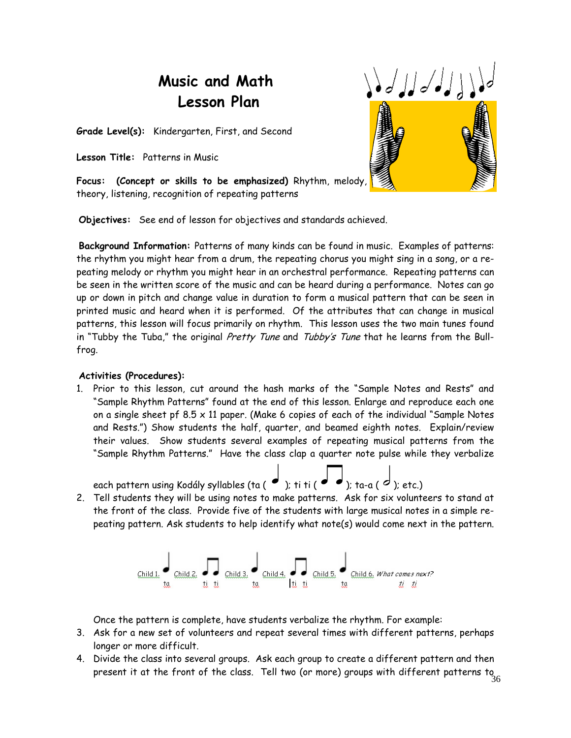# **Music and Math Lesson Plan**



**Grade Level(s):** Kindergarten, First, and Second

**Lesson Title:** Patterns in Music

**Focus: (Concept or skills to be emphasized)** Rhythm, melody, theory, listening, recognition of repeating patterns

**Objectives:** See end of lesson for objectives and standards achieved.

**Background Information:** Patterns of many kinds can be found in music. Examples of patterns: the rhythm you might hear from a drum, the repeating chorus you might sing in a song, or a repeating melody or rhythm you might hear in an orchestral performance. Repeating patterns can be seen in the written score of the music and can be heard during a performance. Notes can go up or down in pitch and change value in duration to form a musical pattern that can be seen in printed music and heard when it is performed. Of the attributes that can change in musical patterns, this lesson will focus primarily on rhythm. This lesson uses the two main tunes found in "Tubby the Tuba," the original Pretty Tune and Tubby's Tune that he learns from the Bullfrog.

# **Activities (Procedures):**

1. Prior to this lesson, cut around the hash marks of the "Sample Notes and Rests" and "Sample Rhythm Patterns" found at the end of this lesson. Enlarge and reproduce each one on a single sheet pf  $8.5 \times 11$  paper. (Make 6 copies of each of the individual "Sample Notes and Rests.") Show students the half, quarter, and beamed eighth notes. Explain/review their values. Show students several examples of repeating musical patterns from the "Sample Rhythm Patterns." Have the class clap a quarter note pulse while they verbalize



2. Tell students they will be using notes to make patterns. Ask for six volunteers to stand at the front of the class. Provide five of the students with large musical notes in a simple repeating pattern. Ask students to help identify what note(s) would come next in the pattern.



Once the pattern is complete, have students verbalize the rhythm. For example:

- 3. Ask for a new set of volunteers and repeat several times with different patterns, perhaps longer or more difficult.
- present it at the front of the class. Tell two (or more) groups with different patterns to  $\frac{36}{36}$ 4. Divide the class into several groups. Ask each group to create a different pattern and then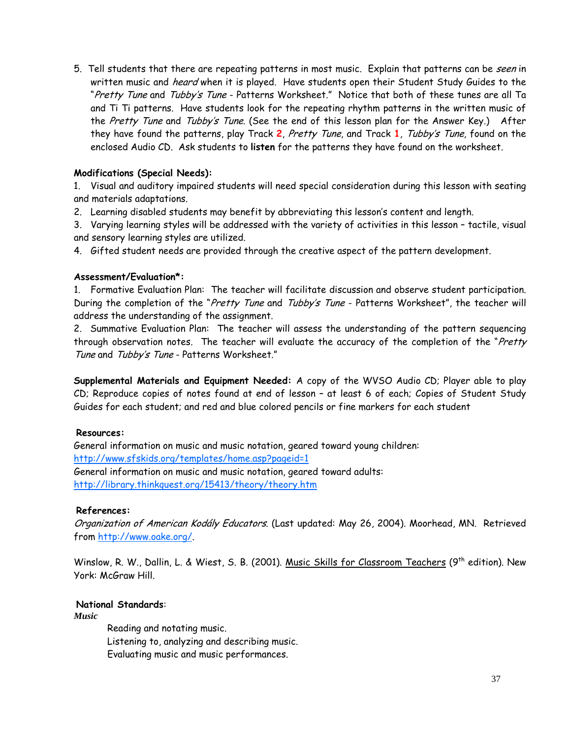5. Tell students that there are repeating patterns in most music. Explain that patterns can be seen in written music and *heard* when it is played. Have students open their Student Study Guides to the "Pretty Tune and Tubby's Tune - Patterns Worksheet." Notice that both of these tunes are all Ta and Ti Ti patterns. Have students look for the repeating rhythm patterns in the written music of the Pretty Tune and Tubby's Tune. (See the end of this lesson plan for the Answer Key.) After they have found the patterns, play Track **2**, Pretty Tune, and Track **1**, Tubby's Tune, found on the enclosed Audio CD. Ask students to **listen** for the patterns they have found on the worksheet.

# **Modifications (Special Needs):**

1. Visual and auditory impaired students will need special consideration during this lesson with seating and materials adaptations.

2. Learning disabled students may benefit by abbreviating this lesson's content and length.

3. Varying learning styles will be addressed with the variety of activities in this lesson – tactile, visual and sensory learning styles are utilized.

4. Gifted student needs are provided through the creative aspect of the pattern development.

#### **Assessment/Evaluation\*:**

1. Formative Evaluation Plan: The teacher will facilitate discussion and observe student participation. During the completion of the "Pretty Tune and Tubby's Tune - Patterns Worksheet", the teacher will address the understanding of the assignment.

2. Summative Evaluation Plan: The teacher will assess the understanding of the pattern sequencing through observation notes. The teacher will evaluate the accuracy of the completion of the "Pretty Tune and Tubby's Tune - Patterns Worksheet."

**Supplemental Materials and Equipment Needed:** A copy of the WVSO Audio CD; Player able to play CD; Reproduce copies of notes found at end of lesson – at least 6 of each; Copies of Student Study Guides for each student; and red and blue colored pencils or fine markers for each student

#### **Resources:**

General information on music and music notation, geared toward young children: http://www.sfskids.org/templates/home.asp?pageid=1 General information on music and music notation, geared toward adults: http://library.thinkquest.org/15413/theory/theory.htm

#### **References:**

Organization of American Kodály Educators. (Last updated: May 26, 2004). Moorhead, MN. Retrieved from http://www.oake.org/.

Winslow, R. W., Dallin, L. & Wiest, S. B. (2001). Music Skills for Classroom Teachers (9<sup>th</sup> edition). New York: McGraw Hill.

# **National Standards**:

*Music* 

Reading and notating music. Listening to, analyzing and describing music. Evaluating music and music performances.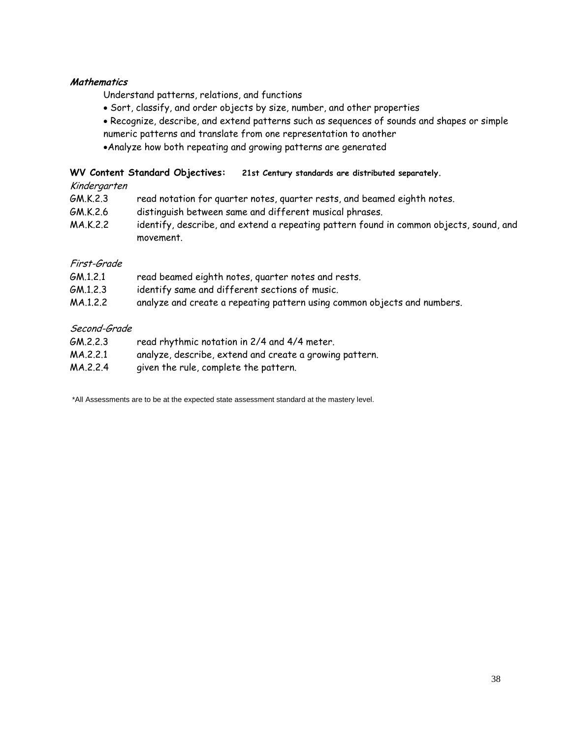## **Mathematics**

Understand patterns, relations, and functions

- Sort, classify, and order objects by size, number, and other properties
- Recognize, describe, and extend patterns such as sequences of sounds and shapes or simple numeric patterns and translate from one representation to another
- •Analyze how both repeating and growing patterns are generated

## **WV Content Standard Objectives: 21st Century standards are distributed separately.**

#### Kindergarten

- GM.K.2.3 read notation for quarter notes, quarter rests, and beamed eighth notes.
- GM.K.2.6 distinguish between same and different musical phrases.
- MA.K.2.2 identify, describe, and extend a repeating pattern found in common objects, sound, and movement.

## First-Grade

| GM.1.2.1 | read beamed eighth notes, quarter notes and rests.                       |
|----------|--------------------------------------------------------------------------|
| GM.1.2.3 | identify same and different sections of music.                           |
| MA.1.2.2 | analyze and create a repeating pattern using common objects and numbers. |

# Second-Grade

| GM.2.2.3 | read rhythmic notation in 2/4 and 4/4 meter.            |
|----------|---------------------------------------------------------|
| MA.2.2.1 | analyze, describe, extend and create a growing pattern. |
| MA.2.2.4 | given the rule, complete the pattern.                   |

\*All Assessments are to be at the expected state assessment standard at the mastery level.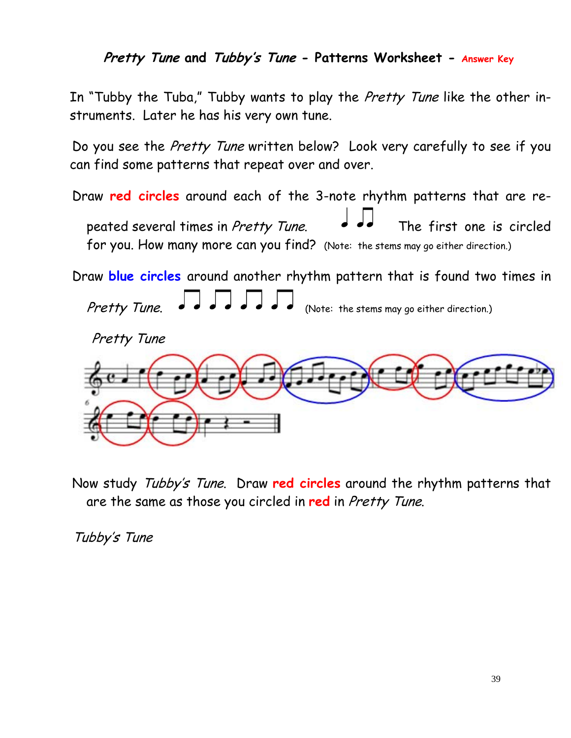**Pretty Tune and Tubby's Tune - Patterns Worksheet - Answer Key**

In "Tubby the Tuba," Tubby wants to play the *Pretty Tune* like the other instruments. Later he has his very own tune.

Do you see the Pretty Tune written below? Look very carefully to see if you can find some patterns that repeat over and over.

Draw **red circles** around each of the 3-note rhythm patterns that are repeated several times in Pretty Tune.  $\bullet \bullet \bullet$  The first one is circled for you. How many more can you find? (Note: the stems may go either direction.)

Draw **blue circles** around another rhythm pattern that is found two times in

Pretty Tune.  $\bullet \bullet \bullet \bullet \bullet \bullet \bullet \bullet \bullet$  (Note: the stems may go either direction.)





Now study Tubby's Tune. Draw **red circles** around the rhythm patterns that are the same as those you circled in **red** in Pretty Tune.

Tubby's Tune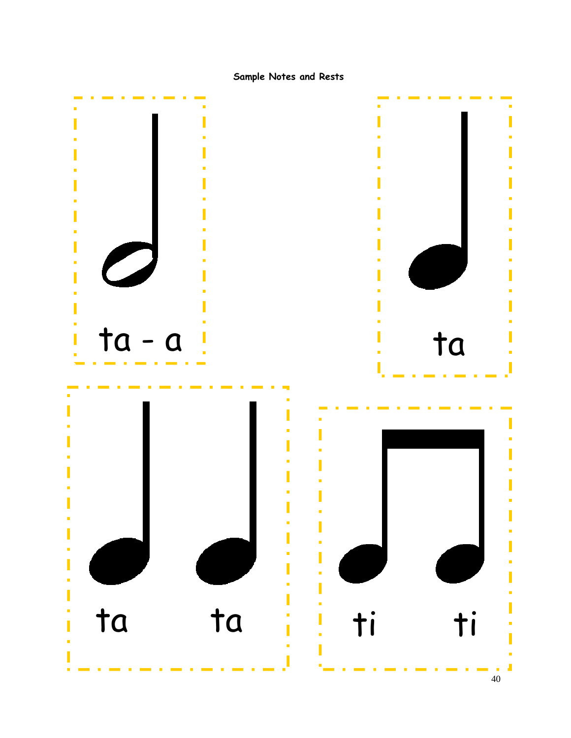Sample Notes and Rests

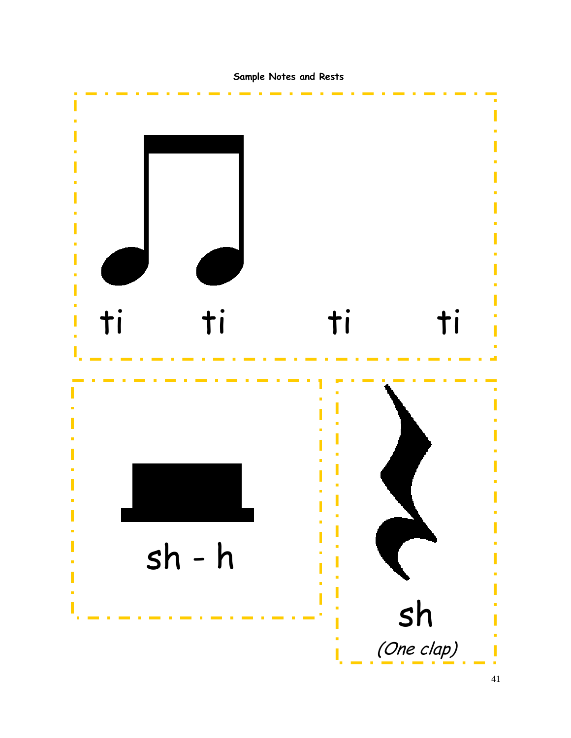Sample Notes and Rests